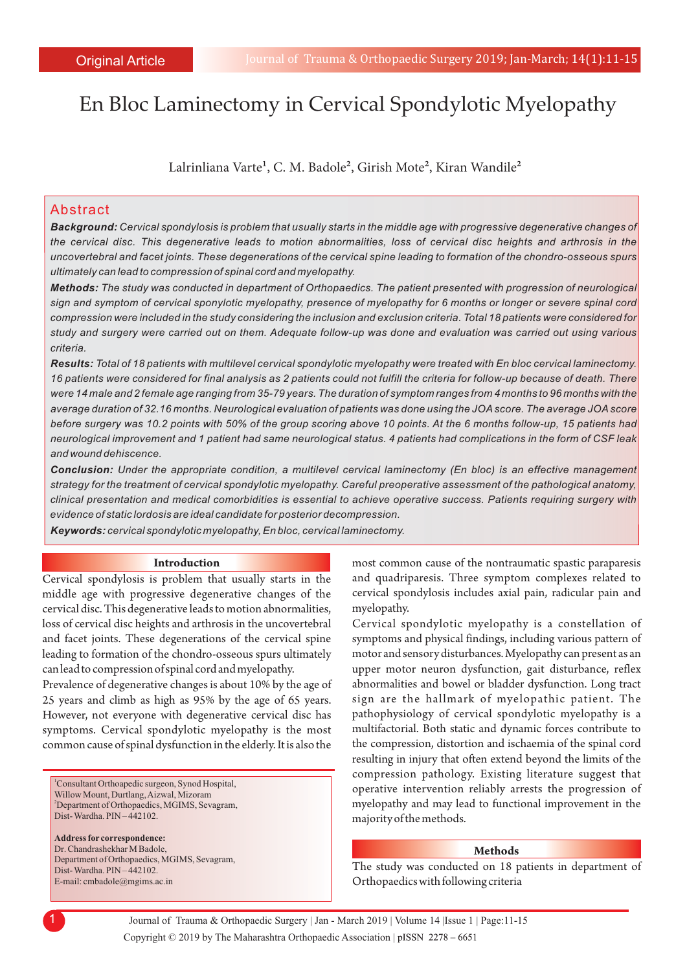# En Bloc Laminectomy in Cervical Spondylotic Myelopathy

Lalrinliana Varte<sup>1</sup>, C. M. Badole<sup>2</sup>, Girish Mote<sup>2</sup>, Kiran Wandile<sup>2</sup>

## Abstract

*Background: Cervical spondylosis is problem that usually starts in the middle age with progressive degenerative changes of the cervical disc. This degenerative leads to motion abnormalities, loss of cervical disc heights and arthrosis in the uncovertebral and facet joints. These degenerations of the cervical spine leading to formation of the chondro-osseous spurs ultimately can lead to compression of spinal cord and myelopathy.* 

*Methods: The study was conducted in department of Orthopaedics. The patient presented with progression of neurological sign and symptom of cervical sponylotic myelopathy, presence of myelopathy for 6 months or longer or severe spinal cord compression were included in the study considering the inclusion and exclusion criteria. Total 18 patients were considered for study and surgery were carried out on them. Adequate follow-up was done and evaluation was carried out using various criteria.*

*Results: Total of 18 patients with multilevel cervical spondylotic myelopathy were treated with En bloc cervical laminectomy. 16 patients were considered for final analysis as 2 patients could not fulfill the criteria for follow-up because of death. There were 14 male and 2 female age ranging from 35-79 years. The duration of symptom ranges from 4 months to 96 months with the average duration of 32.16 months. Neurological evaluation of patients was done using the JOAscore. The average JOAscore before surgery was 10.2 points with 50% of the group scoring above 10 points. At the 6 months follow-up, 15 patients had neurological improvement and 1 patient had same neurological status. 4 patients had complications in the form of CSF leak and wound dehiscence.* 

*Conclusion: Under the appropriate condition, a multilevel cervical laminectomy (En bloc) is an effective management strategy for the treatment of cervical spondylotic myelopathy. Careful preoperative assessment of the pathological anatomy, clinical presentation and medical comorbidities is essential to achieve operative success. Patients requiring surgery with evidence of static lordosis are ideal candidate for posterior decompression.* 

*Keywords: cervical spondylotic myelopathy, En bloc, cervical laminectomy.*

#### **Introduction**

Cervical spondylosis is problem that usually starts in the middle age with progressive degenerative changes of the cervical disc. This degenerative leads to motion abnormalities, loss of cervical disc heights and arthrosis in the uncovertebral and facet joints. These degenerations of the cervical spine leading to formation of the chondro-osseous spurs ultimately can lead to compression of spinal cord and myelopathy.

Prevalence of degenerative changes is about 10% by the age of 25 years and climb as high as 95% by the age of 65 years. However, not everyone with degenerative cervical disc has symptoms. Cervical spondylotic myelopathy is the most common cause of spinal dysfunction in the elderly. It is also the

<sup>2</sup>Department of Orthopaedics, MGIMS, Sevagram, Willow Mount, Durtlang, Aizwal, Mizoram Dist- Wardha. PIN – 442102. <sup>1</sup>Consultant Orthoapedic surgeon, Synod Hospital,

E-mail: cmbadole@mgims.ac.in Department of Orthopaedics, MGIMS, Sevagram, **Address for correspondence:**  Dist- Wardha. PIN – 442102. Dr. Chandrashekhar M Badole,

most common cause of the nontraumatic spastic paraparesis and quadriparesis. Three symptom complexes related to cervical spondylosis includes axial pain, radicular pain and myelopathy.

Cervical spondylotic myelopathy is a constellation of symptoms and physical findings, including various pattern of motor and sensory disturbances. Myelopathy can present as an upper motor neuron dysfunction, gait disturbance, reflex abnormalities and bowel or bladder dysfunction. Long tract sign are the hallmark of myelopathic patient. The pathophysiology of cervical spondylotic myelopathy is a multifactorial. Both static and dynamic forces contribute to the compression, distortion and ischaemia of the spinal cord resulting in injury that often extend beyond the limits of the compression pathology. Existing literature suggest that operative intervention reliably arrests the progression of myelopathy and may lead to functional improvement in the majority of the methods.

#### **Methods**

The study was conducted on 18 patients in department of Orthopaedics with following criteria

Copyright © 2019 by The Maharashtra Orthopaedic Association | 1 Journal of Trauma & Orthopaedic Surgery | Jan - March 2019 | Volume 14 |Issue 1 | Page:11-15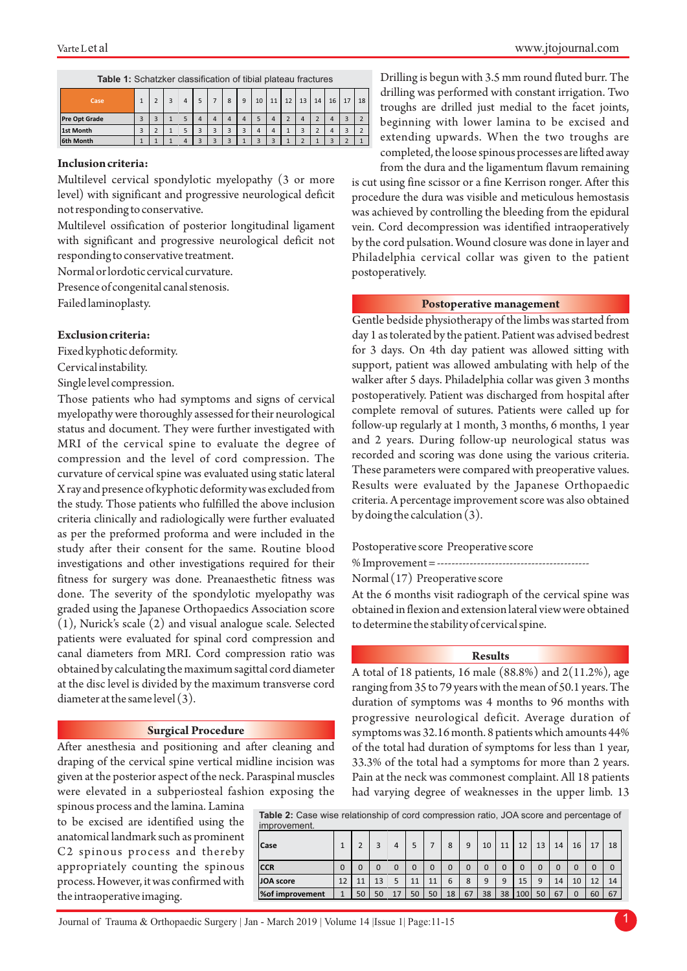| Case                 |   |  | 4 |          |          | 8 | 9      | 10                       | 11 | 12 | 13                   | 14     | 16             | 17 | 18            |
|----------------------|---|--|---|----------|----------|---|--------|--------------------------|----|----|----------------------|--------|----------------|----|---------------|
| <b>Pre Opt Grade</b> | n |  |   |          |          |   | 4      |                          |    |    | 4                    |        |                |    | ÷             |
| 1st Month            | n |  |   | <b>n</b> | <b>n</b> |   | c<br>э |                          |    |    | $\overline{ }$<br>×. | ∽<br>L |                |    | $\rightarrow$ |
| 6th Month            |   |  | 4 | e        |          |   |        | $\overline{\phantom{a}}$ |    |    | $\overline{ }$       |        | $\overline{ }$ |    |               |

#### **Inclusion criteria:**

Multilevel cervical spondylotic myelopathy (3 or more level) with significant and progressive neurological deficit not responding to conservative.

Multilevel ossification of posterior longitudinal ligament with significant and progressive neurological deficit not responding to conservative treatment.

Normal or lordotic cervical curvature.

Presence of congenital canal stenosis.

Failed laminoplasty.

#### **Exclusion criteria:**

Fixed kyphotic deformity.

Cervical instability.

Single level compression.

Those patients who had symptoms and signs of cervical myelopathy were thoroughly assessed for their neurological status and document. They were further investigated with MRI of the cervical spine to evaluate the degree of compression and the level of cord compression. The curvature of cervical spine was evaluated using static lateral X ray and presence of kyphotic deformity was excluded from the study. Those patients who fulfilled the above inclusion criteria clinically and radiologically were further evaluated as per the preformed proforma and were included in the study after their consent for the same. Routine blood investigations and other investigations required for their fitness for surgery was done. Preanaesthetic fitness was done. The severity of the spondylotic myelopathy was graded using the Japanese Orthopaedics Association score (1), Nurick's scale (2) and visual analogue scale. Selected patients were evaluated for spinal cord compression and canal diameters from MRI. Cord compression ratio was obtained by calculating the maximum sagittal cord diameter at the disc level is divided by the maximum transverse cord diameter at the same level (3).

#### **Surgical Procedure**

After anesthesia and positioning and after cleaning and draping of the cervical spine vertical midline incision was given at the posterior aspect of the neck. Paraspinal muscles were elevated in a subperiosteal fashion exposing the

spinous process and the lamina. Lamina to be excised are identified using the anatomical landmark such as prominent C2 spinous process and thereby appropriately counting the spinous process. However, it was confirmed with the intraoperative imaging.

www.jtojournal.com

Drilling is begun with 3.5 mm round fluted burr. The drilling was performed with constant irrigation. Two troughs are drilled just medial to the facet joints, beginning with lower lamina to be excised and extending upwards. When the two troughs are completed, the loose spinous processes are lifted away

from the dura and the ligamentum flavum remaining is cut using fine scissor or a fine Kerrison ronger. After this procedure the dura was visible and meticulous hemostasis was achieved by controlling the bleeding from the epidural vein. Cord decompression was identified intraoperatively by the cord pulsation. Wound closure was done in layer and Philadelphia cervical collar was given to the patient postoperatively.

#### **Postoperative management**

Gentle bedside physiotherapy of the limbs was started from day 1 as tolerated by the patient. Patient was advised bedrest for 3 days. On 4th day patient was allowed sitting with support, patient was allowed ambulating with help of the walker after 5 days. Philadelphia collar was given 3 months postoperatively. Patient was discharged from hospital after complete removal of sutures. Patients were called up for follow-up regularly at 1 month, 3 months, 6 months, 1 year and 2 years. During follow-up neurological status was recorded and scoring was done using the various criteria. These parameters were compared with preoperative values. Results were evaluated by the Japanese Orthopaedic criteria. A percentage improvement score was also obtained by doing the calculation (3).

Postoperative score Preoperative score

% Improvement = ------------------------------------------

Normal (17) Preoperative score

At the 6 months visit radiograph of the cervical spine was obtained in flexion and extension lateral view were obtained to determine the stability of cervical spine.

#### **Results**

A total of 18 patients, 16 male (88.8%) and 2(11.2%), age ranging from 35 to 79 years with the mean of 50.1 years. The duration of symptoms was 4 months to 96 months with progressive neurological deficit. Average duration of symptoms was 32.16 month. 8 patients which amounts 44% of the total had duration of symptoms for less than 1 year, 33.3% of the total had a symptoms for more than 2 years. Pain at the neck was commonest complaint. All 18 patients had varying degree of weaknesses in the upper limb. 13

**Table 2:** Case wise relationship of cord compression ratio, JOA score and percentage of

| improvement.     |    |    |    |    |             |    |    |    |    |             |             |    |    |    |    |          |
|------------------|----|----|----|----|-------------|----|----|----|----|-------------|-------------|----|----|----|----|----------|
| Case             |    |    | 3  | 4  |             |    | 8  | 9  | 10 | 11          | 12          | 13 | 14 | 16 |    | 18       |
| <b>CCR</b>       |    |    | 0  | 0  | $\mathbf 0$ |    |    |    | 0  | $\mathbf 0$ | $\mathbf 0$ |    |    |    |    | $\Omega$ |
| <b>JOA</b> score | 12 |    | 13 | 5  | 11          | 11 | 6  | 8  | 9  | 9           | 15          | 9  | 14 | 10 | 12 | 14       |
| % of improvement |    | 50 | 50 | 17 | 50          | 50 | 18 | 67 | 38 | 38          | 100         | 50 | 67 |    | 60 | 67       |

Journal of Trauma & Orthopaedic Surgery | Jan - March 2019 | Volume 14 |Issue 1| Page:11-15 1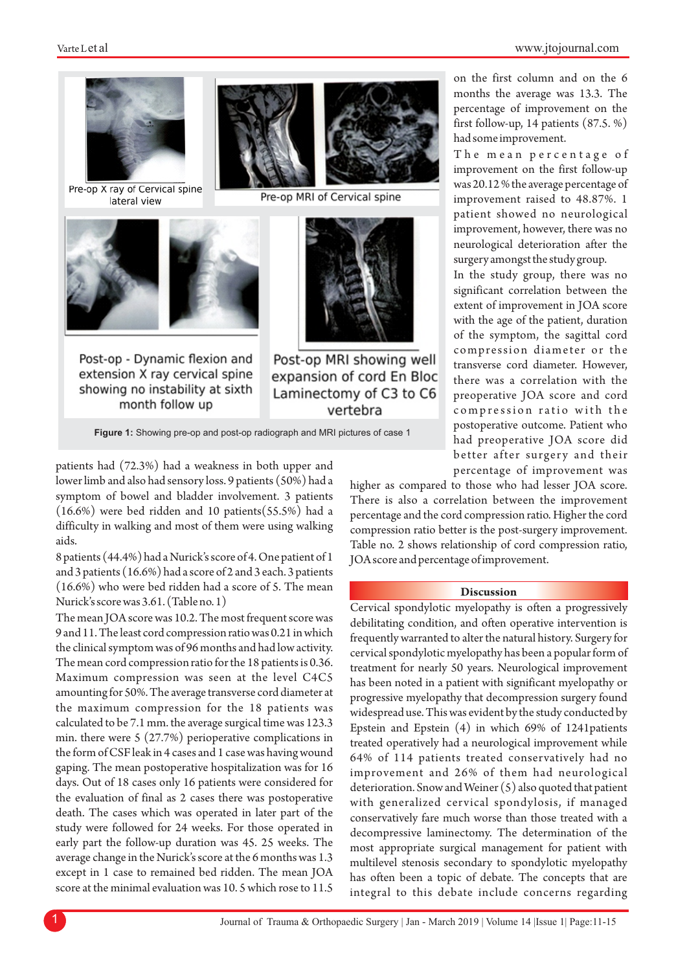on the first column and on the 6 months the average was 13.3. The percentage of improvement on the first follow-up, 14 patients (87.5. %)

The mean percentage of improvement on the first follow-up was 20.12 % the average percentage of improvement raised to 48.87%. 1 patient showed no neurological improvement, however, there was no neurological deterioration after the surgery amongst the study group. In the study group, there was no significant correlation between the extent of improvement in JOA score with the age of the patient, duration of the symptom, the sagittal cord compression diameter or the transverse cord diameter. However, there was a correlation with the preoperative JOA score and cord

had some improvement.



Pre-op X ray of Cervical spine lateral view



Post-op - Dynamic flexion and extension X ray cervical spine showing no instability at sixth month follow up



Pre-op MRI of Cervical spine



Post-op MRI showing well expansion of cord En Bloc Laminectomy of C3 to C6 vertebra

**Figure 1:** Showing pre-op and post-op radiograph and MRI pictures of case 1

patients had (72.3%) had a weakness in both upper and lower limb and also had sensory loss. 9 patients (50%) had a symptom of bowel and bladder involvement. 3 patients (16.6%) were bed ridden and 10 patients(55.5%) had a difficulty in walking and most of them were using walking aids.

8 patients (44.4%) had a Nurick's score of 4. One patient of 1 and 3 patients (16.6%) had a score of 2 and 3 each. 3 patients (16.6%) who were bed ridden had a score of 5. The mean Nurick's score was 3.61. (Table no. 1)

The mean JOA score was 10.2. The most frequent score was 9 and 11. The least cord compression ratio was 0.21 in which the clinical symptom was of 96 months and had low activity. The mean cord compression ratio for the 18 patients is 0.36. Maximum compression was seen at the level C4C5 amounting for 50%. The average transverse cord diameter at the maximum compression for the 18 patients was calculated to be 7.1 mm. the average surgical time was 123.3 min. there were 5 (27.7%) perioperative complications in the form of CSF leak in 4 cases and 1 case was having wound gaping. The mean postoperative hospitalization was for 16 days. Out of 18 cases only 16 patients were considered for the evaluation of final as 2 cases there was postoperative death. The cases which was operated in later part of the study were followed for 24 weeks. For those operated in early part the follow-up duration was 45. 25 weeks. The average change in the Nurick's score at the 6 months was 1.3 except in 1 case to remained bed ridden. The mean JOA score at the minimal evaluation was 10. 5 which rose to 11.5

compression ratio with the postoperative outcome. Patient who had preoperative JOA score did better after surgery and their percentage of improvement was

higher as compared to those who had lesser JOA score. There is also a correlation between the improvement percentage and the cord compression ratio. Higher the cord compression ratio better is the post-surgery improvement. Table no. 2 shows relationship of cord compression ratio, JOA score and percentage of improvement.

#### **Discussion**

Cervical spondylotic myelopathy is often a progressively debilitating condition, and often operative intervention is frequently warranted to alter the natural history. Surgery for cervical spondylotic myelopathy has been a popular form of treatment for nearly 50 years. Neurological improvement has been noted in a patient with significant myelopathy or progressive myelopathy that decompression surgery found widespread use. This was evident by the study conducted by Epstein and Epstein (4) in which 69% of 1241patients treated operatively had a neurological improvement while 64% of 114 patients treated conservatively had no improvement and 26% of them had neurological deterioration. Snow and Weiner (5) also quoted that patient with generalized cervical spondylosis, if managed conservatively fare much worse than those treated with a decompressive laminectomy. The determination of the most appropriate surgical management for patient with multilevel stenosis secondary to spondylotic myelopathy has often been a topic of debate. The concepts that are integral to this debate include concerns regarding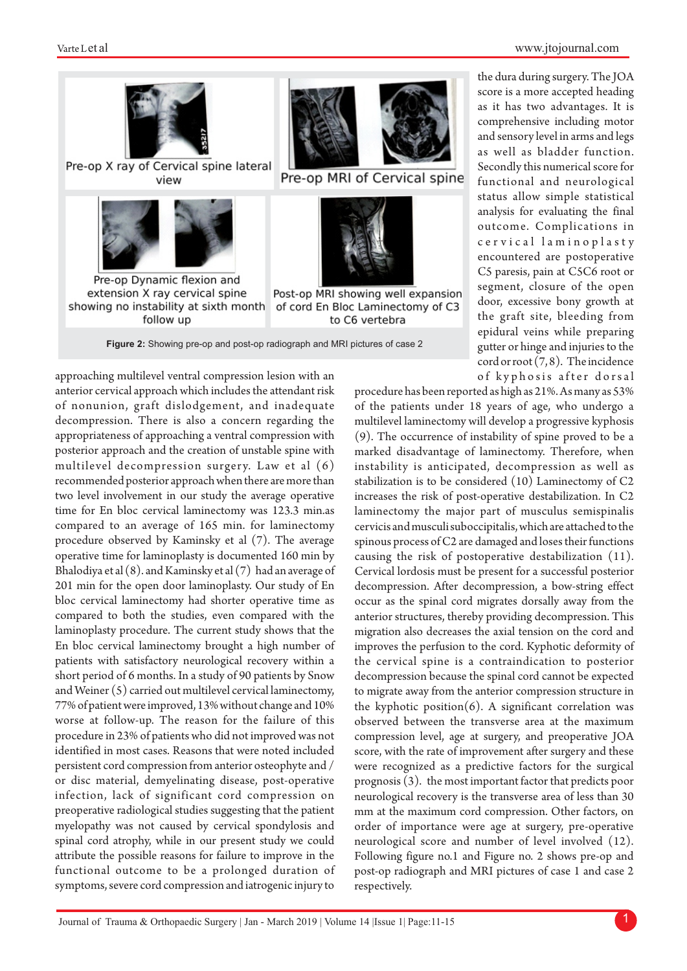

approaching multilevel ventral compression lesion with an anterior cervical approach which includes the attendant risk of nonunion, graft dislodgement, and inadequate decompression. There is also a concern regarding the appropriateness of approaching a ventral compression with posterior approach and the creation of unstable spine with multilevel decompression surgery. Law et al  $(6)$ recommended posterior approach when there are more than two level involvement in our study the average operative time for En bloc cervical laminectomy was 123.3 min.as compared to an average of 165 min. for laminectomy procedure observed by Kaminsky et al (7). The average operative time for laminoplasty is documented 160 min by Bhalodiya et al (8). and Kaminsky et al (7) had an average of 201 min for the open door laminoplasty. Our study of En bloc cervical laminectomy had shorter operative time as compared to both the studies, even compared with the laminoplasty procedure. The current study shows that the En bloc cervical laminectomy brought a high number of patients with satisfactory neurological recovery within a short period of 6 months. In a study of 90 patients by Snow and Weiner (5) carried out multilevel cervical laminectomy, 77% of patient were improved, 13% without change and 10% worse at follow-up. The reason for the failure of this procedure in 23% of patients who did not improved was not identified in most cases. Reasons that were noted included persistent cord compression from anterior osteophyte and / or disc material, demyelinating disease, post-operative infection, lack of significant cord compression on preoperative radiological studies suggesting that the patient myelopathy was not caused by cervical spondylosis and spinal cord atrophy, while in our present study we could attribute the possible reasons for failure to improve in the functional outcome to be a prolonged duration of symptoms, severe cord compression and iatrogenic injury to

the dura during surgery. The JOA score is a more accepted heading as it has two advantages. It is comprehensive including motor and sensory level in arms and legs as well as bladder function. Secondly this numerical score for functional and neurological status allow simple statistical analysis for evaluating the final outcome. Complications in c e r v i c al lamin o plasty encountered are postoperative C5 paresis, pain at C5C6 root or segment, closure of the open door, excessive bony growth at the graft site, bleeding from epidural veins while preparing gutter or hinge and injuries to the cord or root (7, 8). The incidence of kyphosis after dorsal

procedure has been reported as high as 21%. As many as 53% of the patients under 18 years of age, who undergo a multilevel laminectomy will develop a progressive kyphosis (9). The occurrence of instability of spine proved to be a marked disadvantage of laminectomy. Therefore, when instability is anticipated, decompression as well as stabilization is to be considered (10) Laminectomy of C2 increases the risk of post-operative destabilization. In C2 laminectomy the major part of musculus semispinalis cervicis and musculi suboccipitalis, which are attached to the spinous process of C2 are damaged and loses their functions causing the risk of postoperative destabilization (11). Cervical lordosis must be present for a successful posterior decompression. After decompression, a bow-string effect occur as the spinal cord migrates dorsally away from the anterior structures, thereby providing decompression. This migration also decreases the axial tension on the cord and improves the perfusion to the cord. Kyphotic deformity of the cervical spine is a contraindication to posterior decompression because the spinal cord cannot be expected to migrate away from the anterior compression structure in the kyphotic position $(6)$ . A significant correlation was observed between the transverse area at the maximum compression level, age at surgery, and preoperative JOA score, with the rate of improvement after surgery and these were recognized as a predictive factors for the surgical prognosis (3). the most important factor that predicts poor neurological recovery is the transverse area of less than 30 mm at the maximum cord compression. Other factors, on order of importance were age at surgery, pre-operative neurological score and number of level involved (12). Following figure no.1 and Figure no. 2 shows pre-op and post-op radiograph and MRI pictures of case 1 and case 2 respectively.